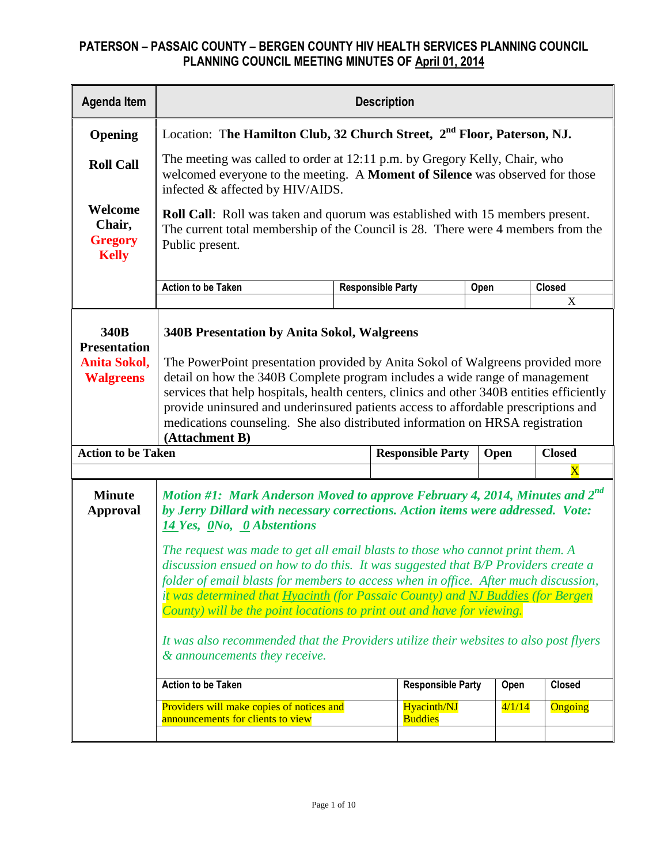| <b>Agenda Item</b>                                                     | <b>Description</b>                                                                                                                                                                                                                                                                                                                                                                                                                                                                                                                                                                                                                                                                                                                                            |  |                               |        |               |  |  |  |  |  |  |
|------------------------------------------------------------------------|---------------------------------------------------------------------------------------------------------------------------------------------------------------------------------------------------------------------------------------------------------------------------------------------------------------------------------------------------------------------------------------------------------------------------------------------------------------------------------------------------------------------------------------------------------------------------------------------------------------------------------------------------------------------------------------------------------------------------------------------------------------|--|-------------------------------|--------|---------------|--|--|--|--|--|--|
| Opening                                                                | Location: The Hamilton Club, 32 Church Street, 2 <sup>nd</sup> Floor, Paterson, NJ.                                                                                                                                                                                                                                                                                                                                                                                                                                                                                                                                                                                                                                                                           |  |                               |        |               |  |  |  |  |  |  |
| <b>Roll Call</b>                                                       | The meeting was called to order at 12:11 p.m. by Gregory Kelly, Chair, who<br>welcomed everyone to the meeting. A Moment of Silence was observed for those<br>infected & affected by HIV/AIDS.                                                                                                                                                                                                                                                                                                                                                                                                                                                                                                                                                                |  |                               |        |               |  |  |  |  |  |  |
| Welcome<br>Chair,<br><b>Gregory</b><br><b>Kelly</b>                    | <b>Roll Call:</b> Roll was taken and quorum was established with 15 members present.<br>The current total membership of the Council is 28. There were 4 members from the<br>Public present.                                                                                                                                                                                                                                                                                                                                                                                                                                                                                                                                                                   |  |                               |        |               |  |  |  |  |  |  |
|                                                                        | <b>Action to be Taken</b><br><b>Closed</b><br><b>Responsible Party</b><br>Open                                                                                                                                                                                                                                                                                                                                                                                                                                                                                                                                                                                                                                                                                |  |                               |        |               |  |  |  |  |  |  |
|                                                                        | X                                                                                                                                                                                                                                                                                                                                                                                                                                                                                                                                                                                                                                                                                                                                                             |  |                               |        |               |  |  |  |  |  |  |
| 340B<br><b>Presentation</b><br><b>Anita Sokol,</b><br><b>Walgreens</b> | <b>340B Presentation by Anita Sokol, Walgreens</b><br>The PowerPoint presentation provided by Anita Sokol of Walgreens provided more<br>detail on how the 340B Complete program includes a wide range of management<br>services that help hospitals, health centers, clinics and other 340B entities efficiently<br>provide uninsured and underinsured patients access to affordable prescriptions and<br>medications counseling. She also distributed information on HRSA registration<br>(Attachment B)                                                                                                                                                                                                                                                     |  |                               |        |               |  |  |  |  |  |  |
| <b>Action to be Taken</b>                                              |                                                                                                                                                                                                                                                                                                                                                                                                                                                                                                                                                                                                                                                                                                                                                               |  | <b>Responsible Party</b>      | Open   | <b>Closed</b> |  |  |  |  |  |  |
|                                                                        |                                                                                                                                                                                                                                                                                                                                                                                                                                                                                                                                                                                                                                                                                                                                                               |  |                               |        | $\mathbf X$   |  |  |  |  |  |  |
| <b>Minute</b><br><b>Approval</b>                                       | Motion #1: Mark Anderson Moved to approve February 4, 2014, Minutes and 2 <sup>nd</sup><br>by Jerry Dillard with necessary corrections. Action items were addressed. Vote:<br>14 Yes, ONo, O Abstentions<br>The request was made to get all email blasts to those who cannot print them. A<br>discussion ensued on how to do this. It was suggested that B/P Providers create a<br>folder of email blasts for members to access when in office. After much discussion,<br>it was determined that Hyacinth (for Passaic County) and NJ Buddies (for Bergen<br>County) will be the point locations to print out and have for viewing.<br>It was also recommended that the Providers utilize their websites to also post flyers<br>& announcements they receive. |  |                               |        |               |  |  |  |  |  |  |
|                                                                        | <b>Action to be Taken</b>                                                                                                                                                                                                                                                                                                                                                                                                                                                                                                                                                                                                                                                                                                                                     |  | <b>Responsible Party</b>      | Open   | <b>Closed</b> |  |  |  |  |  |  |
|                                                                        | Providers will make copies of notices and<br>announcements for clients to view                                                                                                                                                                                                                                                                                                                                                                                                                                                                                                                                                                                                                                                                                |  | Hyacinth/NJ<br><b>Buddies</b> | 4/1/14 | Ongoing       |  |  |  |  |  |  |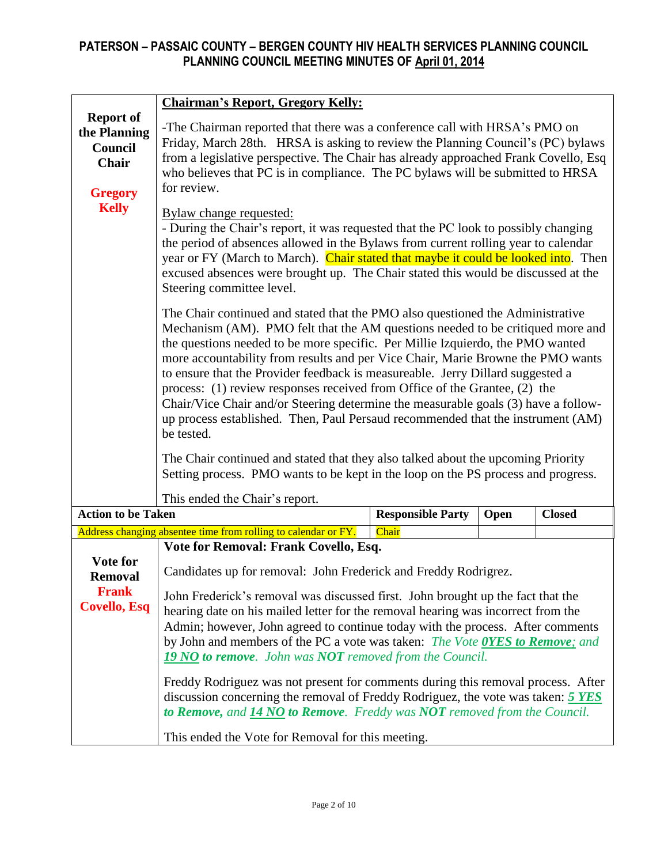|                                                                        | <b>Chairman's Report, Gregory Kelly:</b>                                                                                                                                                                                                                                                                                                                                                                                                                                                                                                                                                                                                                                                     |                          |      |               |  |  |  |
|------------------------------------------------------------------------|----------------------------------------------------------------------------------------------------------------------------------------------------------------------------------------------------------------------------------------------------------------------------------------------------------------------------------------------------------------------------------------------------------------------------------------------------------------------------------------------------------------------------------------------------------------------------------------------------------------------------------------------------------------------------------------------|--------------------------|------|---------------|--|--|--|
| <b>Report of</b><br>the Planning<br>Council<br>Chair<br><b>Gregory</b> | -The Chairman reported that there was a conference call with HRSA's PMO on<br>Friday, March 28th. HRSA is asking to review the Planning Council's (PC) bylaws<br>from a legislative perspective. The Chair has already approached Frank Covello, Esq<br>who believes that PC is in compliance. The PC bylaws will be submitted to HRSA<br>for review.                                                                                                                                                                                                                                                                                                                                        |                          |      |               |  |  |  |
| <b>Kelly</b>                                                           | <b>Bylaw change requested:</b><br>- During the Chair's report, it was requested that the PC look to possibly changing<br>the period of absences allowed in the Bylaws from current rolling year to calendar<br>year or FY (March to March). Chair stated that maybe it could be looked into. Then<br>excused absences were brought up. The Chair stated this would be discussed at the<br>Steering committee level.                                                                                                                                                                                                                                                                          |                          |      |               |  |  |  |
|                                                                        | The Chair continued and stated that the PMO also questioned the Administrative<br>Mechanism (AM). PMO felt that the AM questions needed to be critiqued more and<br>the questions needed to be more specific. Per Millie Izquierdo, the PMO wanted<br>more accountability from results and per Vice Chair, Marie Browne the PMO wants<br>to ensure that the Provider feedback is measureable. Jerry Dillard suggested a<br>process: (1) review responses received from Office of the Grantee, (2) the<br>Chair/Vice Chair and/or Steering determine the measurable goals (3) have a follow-<br>up process established. Then, Paul Persaud recommended that the instrument (AM)<br>be tested. |                          |      |               |  |  |  |
|                                                                        | The Chair continued and stated that they also talked about the upcoming Priority<br>Setting process. PMO wants to be kept in the loop on the PS process and progress.                                                                                                                                                                                                                                                                                                                                                                                                                                                                                                                        |                          |      |               |  |  |  |
|                                                                        | This ended the Chair's report.                                                                                                                                                                                                                                                                                                                                                                                                                                                                                                                                                                                                                                                               |                          |      |               |  |  |  |
| <b>Action to be Taken</b>                                              |                                                                                                                                                                                                                                                                                                                                                                                                                                                                                                                                                                                                                                                                                              | <b>Responsible Party</b> | Open | <b>Closed</b> |  |  |  |
|                                                                        | Address changing absentee time from rolling to calendar or FY.<br>Vote for Removal: Frank Covello, Esq.                                                                                                                                                                                                                                                                                                                                                                                                                                                                                                                                                                                      | Chair                    |      |               |  |  |  |
| Vote for<br><b>Removal</b><br><b>Frank</b><br><b>Covello, Esq</b>      | Candidates up for removal: John Frederick and Freddy Rodrigrez.<br>John Frederick's removal was discussed first. John brought up the fact that the<br>hearing date on his mailed letter for the removal hearing was incorrect from the<br>Admin; however, John agreed to continue today with the process. After comments<br>by John and members of the PC a vote was taken: The Vote OYES to Remove; and<br><b>19 NO to remove.</b> John was <b>NOT</b> removed from the Council.<br>Freddy Rodriguez was not present for comments during this removal process. After                                                                                                                        |                          |      |               |  |  |  |
|                                                                        | discussion concerning the removal of Freddy Rodriguez, the vote was taken: 5 YES<br>to Remove, and 14 NO to Remove. Freddy was NOT removed from the Council.<br>This ended the Vote for Removal for this meeting.                                                                                                                                                                                                                                                                                                                                                                                                                                                                            |                          |      |               |  |  |  |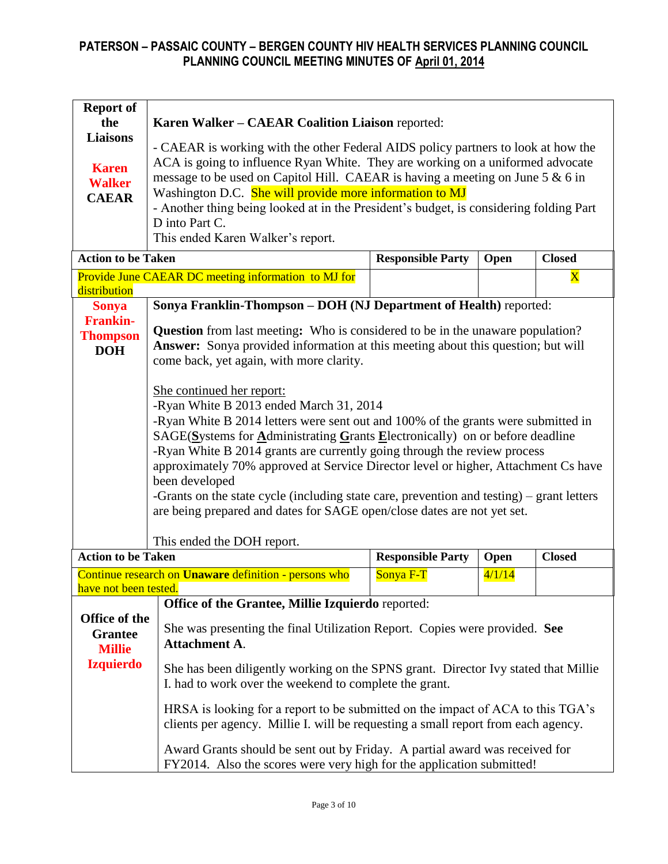| <b>Report of</b>          |                                                                                           |                          |        |               |  |  |  |  |  |  |
|---------------------------|-------------------------------------------------------------------------------------------|--------------------------|--------|---------------|--|--|--|--|--|--|
| the                       | Karen Walker - CAEAR Coalition Liaison reported:                                          |                          |        |               |  |  |  |  |  |  |
| <b>Liaisons</b>           | - CAEAR is working with the other Federal AIDS policy partners to look at how the         |                          |        |               |  |  |  |  |  |  |
|                           |                                                                                           |                          |        |               |  |  |  |  |  |  |
| <b>Karen</b>              | ACA is going to influence Ryan White. They are working on a uniformed advocate            |                          |        |               |  |  |  |  |  |  |
| <b>Walker</b>             | message to be used on Capitol Hill. CAEAR is having a meeting on June 5 & 6 in            |                          |        |               |  |  |  |  |  |  |
| <b>CAEAR</b>              | Washington D.C. She will provide more information to MJ                                   |                          |        |               |  |  |  |  |  |  |
|                           | - Another thing being looked at in the President's budget, is considering folding Part    |                          |        |               |  |  |  |  |  |  |
|                           | D into Part C.                                                                            |                          |        |               |  |  |  |  |  |  |
|                           | This ended Karen Walker's report.                                                         |                          |        |               |  |  |  |  |  |  |
| <b>Action to be Taken</b> |                                                                                           | <b>Responsible Party</b> | Open   | <b>Closed</b> |  |  |  |  |  |  |
|                           | Provide June CAEAR DC meeting information to MJ for                                       |                          |        | $\mathbf X$   |  |  |  |  |  |  |
| distribution              |                                                                                           |                          |        |               |  |  |  |  |  |  |
| <b>Sonya</b>              | Sonya Franklin-Thompson - DOH (NJ Department of Health) reported:                         |                          |        |               |  |  |  |  |  |  |
| <b>Frankin-</b>           | <b>Question</b> from last meeting: Who is considered to be in the unaware population?     |                          |        |               |  |  |  |  |  |  |
| <b>Thompson</b>           | Answer: Sonya provided information at this meeting about this question; but will          |                          |        |               |  |  |  |  |  |  |
| <b>DOH</b>                | come back, yet again, with more clarity.                                                  |                          |        |               |  |  |  |  |  |  |
|                           |                                                                                           |                          |        |               |  |  |  |  |  |  |
|                           | She continued her report:                                                                 |                          |        |               |  |  |  |  |  |  |
|                           | -Ryan White B 2013 ended March 31, 2014                                                   |                          |        |               |  |  |  |  |  |  |
|                           | -Ryan White B 2014 letters were sent out and 100% of the grants were submitted in         |                          |        |               |  |  |  |  |  |  |
|                           | SAGE(Systems for Administrating Grants Electronically) on or before deadline              |                          |        |               |  |  |  |  |  |  |
|                           | -Ryan White B 2014 grants are currently going through the review process                  |                          |        |               |  |  |  |  |  |  |
|                           | approximately 70% approved at Service Director level or higher, Attachment Cs have        |                          |        |               |  |  |  |  |  |  |
|                           | been developed                                                                            |                          |        |               |  |  |  |  |  |  |
|                           | -Grants on the state cycle (including state care, prevention and testing) – grant letters |                          |        |               |  |  |  |  |  |  |
|                           | are being prepared and dates for SAGE open/close dates are not yet set.                   |                          |        |               |  |  |  |  |  |  |
|                           |                                                                                           |                          |        |               |  |  |  |  |  |  |
|                           | This ended the DOH report.                                                                |                          |        |               |  |  |  |  |  |  |
| <b>Action to be Taken</b> |                                                                                           | <b>Responsible Party</b> | Open   | <b>Closed</b> |  |  |  |  |  |  |
|                           | Continue research on <b>Unaware</b> definition - persons who                              | Sonya F-T                | 4/1/14 |               |  |  |  |  |  |  |
| have not been tested.     | Office of the Grantee, Millie Izquierdo reported:                                         |                          |        |               |  |  |  |  |  |  |
| Office of the             |                                                                                           |                          |        |               |  |  |  |  |  |  |
| <b>Grantee</b>            | She was presenting the final Utilization Report. Copies were provided. See                |                          |        |               |  |  |  |  |  |  |
| <b>Millie</b>             | <b>Attachment A.</b>                                                                      |                          |        |               |  |  |  |  |  |  |
| <b>Izquierdo</b>          |                                                                                           |                          |        |               |  |  |  |  |  |  |
|                           | She has been diligently working on the SPNS grant. Director Ivy stated that Millie        |                          |        |               |  |  |  |  |  |  |
|                           | I. had to work over the weekend to complete the grant.                                    |                          |        |               |  |  |  |  |  |  |
|                           | HRSA is looking for a report to be submitted on the impact of ACA to this TGA's           |                          |        |               |  |  |  |  |  |  |
|                           | clients per agency. Millie I. will be requesting a small report from each agency.         |                          |        |               |  |  |  |  |  |  |
|                           |                                                                                           |                          |        |               |  |  |  |  |  |  |
|                           | Award Grants should be sent out by Friday. A partial award was received for               |                          |        |               |  |  |  |  |  |  |
|                           | FY2014. Also the scores were very high for the application submitted!                     |                          |        |               |  |  |  |  |  |  |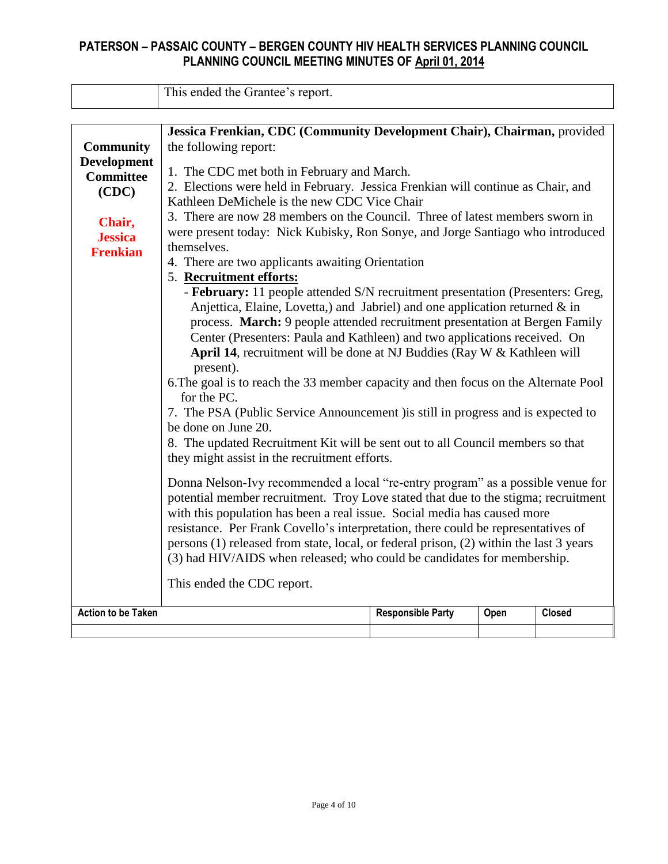This ended the Grantee's report.

|                           | Jessica Frenkian, CDC (Community Development Chair), Chairman, provided                                                                                                                                                             |                          |      |               |  |  |  |  |  |  |  |
|---------------------------|-------------------------------------------------------------------------------------------------------------------------------------------------------------------------------------------------------------------------------------|--------------------------|------|---------------|--|--|--|--|--|--|--|
| <b>Community</b>          | the following report:                                                                                                                                                                                                               |                          |      |               |  |  |  |  |  |  |  |
| <b>Development</b>        |                                                                                                                                                                                                                                     |                          |      |               |  |  |  |  |  |  |  |
| <b>Committee</b>          | 1. The CDC met both in February and March.                                                                                                                                                                                          |                          |      |               |  |  |  |  |  |  |  |
|                           | 2. Elections were held in February. Jessica Frenkian will continue as Chair, and<br>(CDC)<br>Kathleen DeMichele is the new CDC Vice Chair<br>3. There are now 28 members on the Council. Three of latest members sworn in<br>Chair, |                          |      |               |  |  |  |  |  |  |  |
|                           |                                                                                                                                                                                                                                     |                          |      |               |  |  |  |  |  |  |  |
|                           |                                                                                                                                                                                                                                     |                          |      |               |  |  |  |  |  |  |  |
| <b>Jessica</b>            | were present today: Nick Kubisky, Ron Sonye, and Jorge Santiago who introduced                                                                                                                                                      |                          |      |               |  |  |  |  |  |  |  |
| <b>Frenkian</b>           | themselves.                                                                                                                                                                                                                         |                          |      |               |  |  |  |  |  |  |  |
|                           | 4. There are two applicants awaiting Orientation                                                                                                                                                                                    |                          |      |               |  |  |  |  |  |  |  |
|                           | 5. Recruitment efforts:                                                                                                                                                                                                             |                          |      |               |  |  |  |  |  |  |  |
|                           | - February: 11 people attended S/N recruitment presentation (Presenters: Greg,                                                                                                                                                      |                          |      |               |  |  |  |  |  |  |  |
|                           | Anjettica, Elaine, Lovetta,) and Jabriel) and one application returned & in                                                                                                                                                         |                          |      |               |  |  |  |  |  |  |  |
|                           | process. March: 9 people attended recruitment presentation at Bergen Family                                                                                                                                                         |                          |      |               |  |  |  |  |  |  |  |
|                           | Center (Presenters: Paula and Kathleen) and two applications received. On                                                                                                                                                           |                          |      |               |  |  |  |  |  |  |  |
|                           | April 14, recruitment will be done at NJ Buddies (Ray W & Kathleen will                                                                                                                                                             |                          |      |               |  |  |  |  |  |  |  |
|                           | present).                                                                                                                                                                                                                           |                          |      |               |  |  |  |  |  |  |  |
|                           | 6. The goal is to reach the 33 member capacity and then focus on the Alternate Pool<br>for the PC.                                                                                                                                  |                          |      |               |  |  |  |  |  |  |  |
|                           | 7. The PSA (Public Service Announcement ) is still in progress and is expected to                                                                                                                                                   |                          |      |               |  |  |  |  |  |  |  |
|                           | be done on June 20.                                                                                                                                                                                                                 |                          |      |               |  |  |  |  |  |  |  |
|                           | 8. The updated Recruitment Kit will be sent out to all Council members so that                                                                                                                                                      |                          |      |               |  |  |  |  |  |  |  |
|                           | they might assist in the recruitment efforts.                                                                                                                                                                                       |                          |      |               |  |  |  |  |  |  |  |
|                           |                                                                                                                                                                                                                                     |                          |      |               |  |  |  |  |  |  |  |
|                           | Donna Nelson-Ivy recommended a local "re-entry program" as a possible venue for                                                                                                                                                     |                          |      |               |  |  |  |  |  |  |  |
|                           | potential member recruitment. Troy Love stated that due to the stigma; recruitment                                                                                                                                                  |                          |      |               |  |  |  |  |  |  |  |
|                           | with this population has been a real issue. Social media has caused more                                                                                                                                                            |                          |      |               |  |  |  |  |  |  |  |
|                           | resistance. Per Frank Covello's interpretation, there could be representatives of                                                                                                                                                   |                          |      |               |  |  |  |  |  |  |  |
|                           | persons (1) released from state, local, or federal prison, (2) within the last 3 years                                                                                                                                              |                          |      |               |  |  |  |  |  |  |  |
|                           | (3) had HIV/AIDS when released; who could be candidates for membership.                                                                                                                                                             |                          |      |               |  |  |  |  |  |  |  |
|                           | This ended the CDC report.                                                                                                                                                                                                          |                          |      |               |  |  |  |  |  |  |  |
| <b>Action to be Taken</b> |                                                                                                                                                                                                                                     | <b>Responsible Party</b> | Open | <b>Closed</b> |  |  |  |  |  |  |  |
|                           |                                                                                                                                                                                                                                     |                          |      |               |  |  |  |  |  |  |  |
|                           |                                                                                                                                                                                                                                     |                          |      |               |  |  |  |  |  |  |  |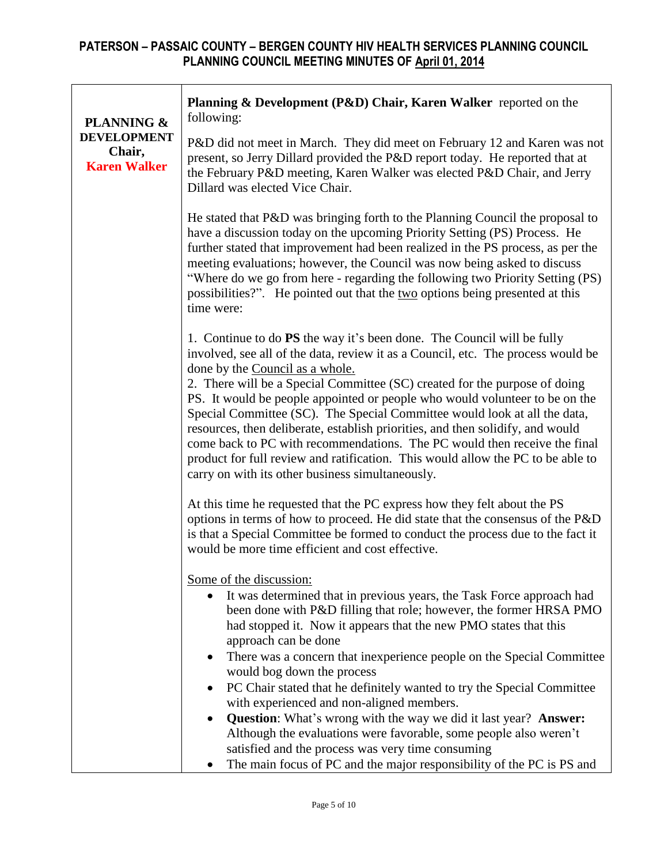| <b>PLANNING &amp;</b>                               | Planning & Development (P&D) Chair, Karen Walker reported on the<br>following:                                                                                                                                                                                                                                                                                                                                                                                                                                                                                                                                                                                                                                                                |
|-----------------------------------------------------|-----------------------------------------------------------------------------------------------------------------------------------------------------------------------------------------------------------------------------------------------------------------------------------------------------------------------------------------------------------------------------------------------------------------------------------------------------------------------------------------------------------------------------------------------------------------------------------------------------------------------------------------------------------------------------------------------------------------------------------------------|
| <b>DEVELOPMENT</b><br>Chair,<br><b>Karen Walker</b> | P&D did not meet in March. They did meet on February 12 and Karen was not<br>present, so Jerry Dillard provided the P&D report today. He reported that at<br>the February P&D meeting, Karen Walker was elected P&D Chair, and Jerry<br>Dillard was elected Vice Chair.                                                                                                                                                                                                                                                                                                                                                                                                                                                                       |
|                                                     | He stated that P&D was bringing forth to the Planning Council the proposal to<br>have a discussion today on the upcoming Priority Setting (PS) Process. He<br>further stated that improvement had been realized in the PS process, as per the<br>meeting evaluations; however, the Council was now being asked to discuss<br>"Where do we go from here - regarding the following two Priority Setting (PS)<br>possibilities?". He pointed out that the two options being presented at this<br>time were:                                                                                                                                                                                                                                      |
|                                                     | 1. Continue to do PS the way it's been done. The Council will be fully<br>involved, see all of the data, review it as a Council, etc. The process would be<br>done by the Council as a whole.<br>2. There will be a Special Committee (SC) created for the purpose of doing<br>PS. It would be people appointed or people who would volunteer to be on the<br>Special Committee (SC). The Special Committee would look at all the data,<br>resources, then deliberate, establish priorities, and then solidify, and would<br>come back to PC with recommendations. The PC would then receive the final<br>product for full review and ratification. This would allow the PC to be able to<br>carry on with its other business simultaneously. |
|                                                     | At this time he requested that the PC express how they felt about the PS<br>options in terms of how to proceed. He did state that the consensus of the P&D<br>is that a Special Committee be formed to conduct the process due to the fact it<br>would be more time efficient and cost effective.                                                                                                                                                                                                                                                                                                                                                                                                                                             |
|                                                     | Some of the discussion:<br>It was determined that in previous years, the Task Force approach had<br>$\bullet$<br>been done with P&D filling that role; however, the former HRSA PMO<br>had stopped it. Now it appears that the new PMO states that this<br>approach can be done<br>There was a concern that inexperience people on the Special Committee<br>would bog down the process                                                                                                                                                                                                                                                                                                                                                        |
|                                                     | PC Chair stated that he definitely wanted to try the Special Committee<br>with experienced and non-aligned members.<br><b>Question:</b> What's wrong with the way we did it last year? <b>Answer:</b><br>Although the evaluations were favorable, some people also weren't<br>satisfied and the process was very time consuming<br>The main focus of PC and the major responsibility of the PC is PS and                                                                                                                                                                                                                                                                                                                                      |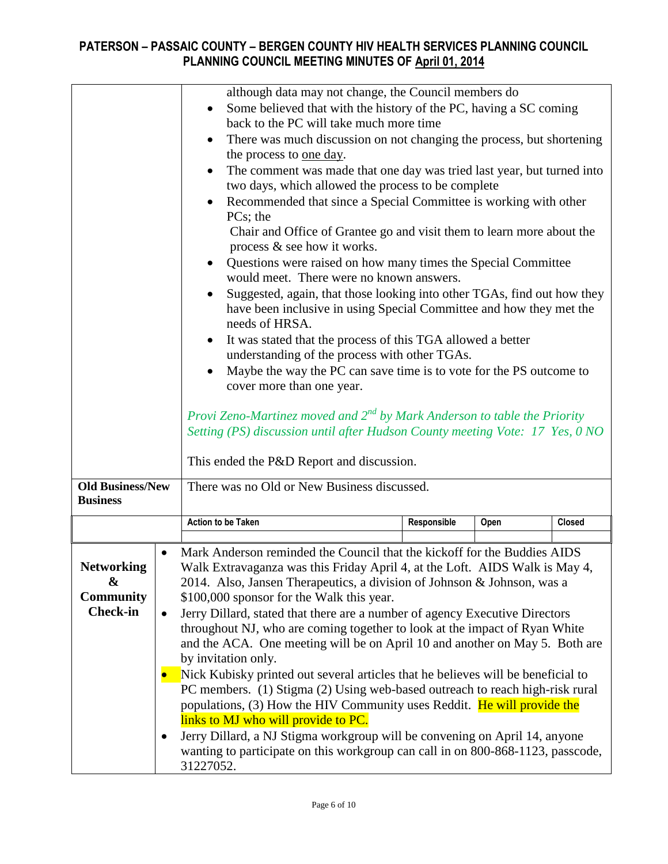|                                                               |                             | although data may not change, the Council members do<br>Some believed that with the history of the PC, having a SC coming<br>back to the PC will take much more time<br>There was much discussion on not changing the process, but shortening<br>the process to <u>one day</u> .<br>The comment was made that one day was tried last year, but turned into<br>two days, which allowed the process to be complete<br>Recommended that since a Special Committee is working with other<br>PCs; the<br>Chair and Office of Grantee go and visit them to learn more about the<br>process $\&$ see how it works.<br>Questions were raised on how many times the Special Committee<br>would meet. There were no known answers.<br>Suggested, again, that those looking into other TGAs, find out how they<br>$\bullet$<br>have been inclusive in using Special Committee and how they met the<br>needs of HRSA.<br>It was stated that the process of this TGA allowed a better<br>understanding of the process with other TGAs.<br>Maybe the way the PC can save time is to vote for the PS outcome to<br>cover more than one year.<br>Provi Zeno-Martinez moved and $2^{nd}$ by Mark Anderson to table the Priority<br>Setting (PS) discussion until after Hudson County meeting Vote: 17 Yes, 0 NO |             |      |        |  |  |  |
|---------------------------------------------------------------|-----------------------------|------------------------------------------------------------------------------------------------------------------------------------------------------------------------------------------------------------------------------------------------------------------------------------------------------------------------------------------------------------------------------------------------------------------------------------------------------------------------------------------------------------------------------------------------------------------------------------------------------------------------------------------------------------------------------------------------------------------------------------------------------------------------------------------------------------------------------------------------------------------------------------------------------------------------------------------------------------------------------------------------------------------------------------------------------------------------------------------------------------------------------------------------------------------------------------------------------------------------------------------------------------------------------------------------|-------------|------|--------|--|--|--|
| <b>Old Business/New</b><br><b>Business</b>                    |                             | There was no Old or New Business discussed.                                                                                                                                                                                                                                                                                                                                                                                                                                                                                                                                                                                                                                                                                                                                                                                                                                                                                                                                                                                                                                                                                                                                                                                                                                                    |             |      |        |  |  |  |
|                                                               |                             | <b>Action to be Taken</b>                                                                                                                                                                                                                                                                                                                                                                                                                                                                                                                                                                                                                                                                                                                                                                                                                                                                                                                                                                                                                                                                                                                                                                                                                                                                      | Responsible | Open | Closed |  |  |  |
| <b>Networking</b><br>&<br><b>Community</b><br><b>Check-in</b> | $\bullet$<br>$\bullet$<br>٠ | Mark Anderson reminded the Council that the kickoff for the Buddies AIDS<br>Walk Extravaganza was this Friday April 4, at the Loft. AIDS Walk is May 4<br>2014. Also, Jansen Therapeutics, a division of Johnson & Johnson, was a<br>\$100,000 sponsor for the Walk this year.<br>Jerry Dillard, stated that there are a number of agency Executive Directors<br>throughout NJ, who are coming together to look at the impact of Ryan White<br>and the ACA. One meeting will be on April 10 and another on May 5. Both are<br>by invitation only.<br>Nick Kubisky printed out several articles that he believes will be beneficial to<br>PC members. (1) Stigma (2) Using web-based outreach to reach high-risk rural<br>populations, (3) How the HIV Community uses Reddit. He will provide the<br>links to MJ who will provide to PC.<br>Jerry Dillard, a NJ Stigma workgroup will be convening on April 14, anyone<br>wanting to participate on this workgroup can call in on 800-868-1123, passcode,<br>31227052.                                                                                                                                                                                                                                                                          |             |      |        |  |  |  |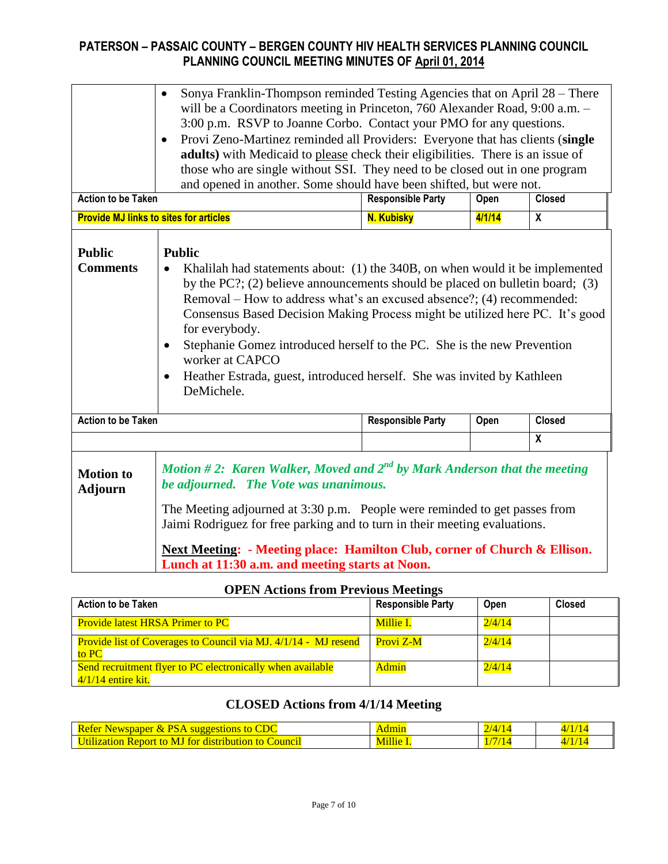|                                                                                                                                                                                                                                                                                                                                                                                                                                                                                                                                                                                                   | Sonya Franklin-Thompson reminded Testing Agencies that on April 28 – There<br>$\bullet$<br>will be a Coordinators meeting in Princeton, 760 Alexander Road, 9:00 a.m. -<br>3:00 p.m. RSVP to Joanne Corbo. Contact your PMO for any questions.<br>Provi Zeno-Martinez reminded all Providers: Everyone that has clients (single<br>adults) with Medicaid to please check their eligibilities. There is an issue of<br>those who are single without SSI. They need to be closed out in one program<br>and opened in another. Some should have been shifted, but were not. |                          |        |                         |  |  |  |  |  |
|---------------------------------------------------------------------------------------------------------------------------------------------------------------------------------------------------------------------------------------------------------------------------------------------------------------------------------------------------------------------------------------------------------------------------------------------------------------------------------------------------------------------------------------------------------------------------------------------------|--------------------------------------------------------------------------------------------------------------------------------------------------------------------------------------------------------------------------------------------------------------------------------------------------------------------------------------------------------------------------------------------------------------------------------------------------------------------------------------------------------------------------------------------------------------------------|--------------------------|--------|-------------------------|--|--|--|--|--|
| <b>Action to be Taken</b>                                                                                                                                                                                                                                                                                                                                                                                                                                                                                                                                                                         |                                                                                                                                                                                                                                                                                                                                                                                                                                                                                                                                                                          | <b>Responsible Party</b> | Open   | <b>Closed</b>           |  |  |  |  |  |
|                                                                                                                                                                                                                                                                                                                                                                                                                                                                                                                                                                                                   | <b>Provide MJ links to sites for articles</b>                                                                                                                                                                                                                                                                                                                                                                                                                                                                                                                            | <b>N. Kubisky</b>        | 4/1/14 | $\overline{\mathbf{x}}$ |  |  |  |  |  |
| <b>Public</b><br><b>Public</b><br><b>Comments</b><br>Khalilah had statements about: (1) the 340B, on when would it be implemented<br>by the PC?; (2) believe announcements should be placed on bulletin board; (3)<br>Removal – How to address what's an excused absence?; (4) recommended:<br>Consensus Based Decision Making Process might be utilized here PC. It's good<br>for everybody.<br>Stephanie Gomez introduced herself to the PC. She is the new Prevention<br>worker at CAPCO<br>Heather Estrada, guest, introduced herself. She was invited by Kathleen<br>$\bullet$<br>DeMichele. |                                                                                                                                                                                                                                                                                                                                                                                                                                                                                                                                                                          |                          |        |                         |  |  |  |  |  |
| <b>Action to be Taken</b>                                                                                                                                                                                                                                                                                                                                                                                                                                                                                                                                                                         |                                                                                                                                                                                                                                                                                                                                                                                                                                                                                                                                                                          | <b>Responsible Party</b> | Open   | <b>Closed</b>           |  |  |  |  |  |
|                                                                                                                                                                                                                                                                                                                                                                                                                                                                                                                                                                                                   |                                                                                                                                                                                                                                                                                                                                                                                                                                                                                                                                                                          |                          |        | $\overline{\mathbf{X}}$ |  |  |  |  |  |
| <b>Motion to</b><br><b>Adjourn</b>                                                                                                                                                                                                                                                                                                                                                                                                                                                                                                                                                                | Motion #2: Karen Walker, Moved and $2^{nd}$ by Mark Anderson that the meeting<br>be adjourned. The Vote was unanimous.<br>The Meeting adjourned at 3:30 p.m. People were reminded to get passes from<br>Jaimi Rodriguez for free parking and to turn in their meeting evaluations.<br><b>Next Meeting: - Meeting place: Hamilton Club, corner of Church &amp; Ellison.</b><br>Lunch at 11:30 a.m. and meeting starts at Noon.                                                                                                                                            |                          |        |                         |  |  |  |  |  |

#### **OPEN Actions from Previous Meetings**

| Of Extractions in one internal meetings                                          |                          |             |               |
|----------------------------------------------------------------------------------|--------------------------|-------------|---------------|
| <b>Action to be Taken</b>                                                        | <b>Responsible Party</b> | <b>Open</b> | <b>Closed</b> |
| <b>Provide latest HRSA Primer to PC</b>                                          | Millie I.                | 2/4/14      |               |
| <b>Provide list of Coverages to Council via MJ. 4/1/14 - MJ resend</b><br>to PC  | Provi Z-M                | 2/4/14      |               |
| Send recruitment flyer to PC electronically when available<br>4/1/14 entire kit. | Admin                    | 2/4/14      |               |

# **CLOSED Actions from 4/1/14 Meeting**

| <b>BUT AT A</b><br>Refer<br>DС<br>Newspaper<br>to<br>suggestions<br>' XT                          | .             | <b>COL</b><br>74 |      |
|---------------------------------------------------------------------------------------------------|---------------|------------------|------|
| M.<br>to<br><u>Jfilization</u><br><b>Council</b><br>distribution :<br>to<br><b>Report</b><br>for. | <b>Fillie</b> | - 17             | 21 T |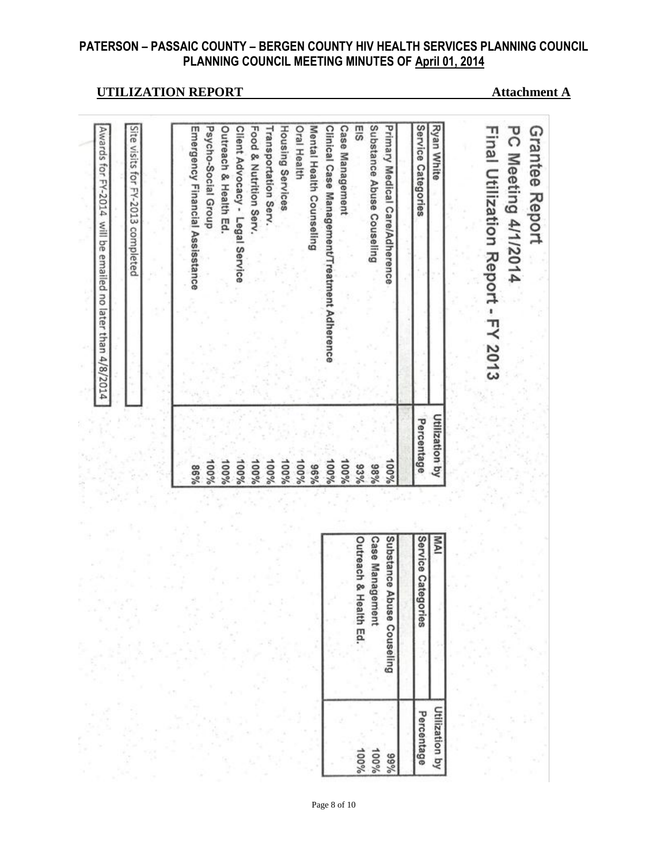## **UTILIZATION REPORT Attachment A**

Grantee Report

Final Utilization Report - FY 2013

**PC Meeting 4/1/2014** 

| Ryan White                                   | Utilization by |
|----------------------------------------------|----------------|
| Service Categories                           | Percentage     |
|                                              |                |
| Primary Medical Care/Adherence               | 100%           |
| Substance Abuse Couseling                    | %86            |
| EIS                                          | 93%            |
| <b>Case Management</b>                       | 100%           |
| Clinical Case Management/Treatment Adherence | 100%           |
| Mental Health Counseling                     | %96            |
| <b>Oral Health</b>                           | 100%           |
| Housing Services                             | 100%           |
| Transportation Serv.                         | 100%           |
| Food & Nutrition Serv.                       | 100%           |
| Client Advocacy - Legal Service              | 100%           |
| <b>Outreach &amp; Health Ed.</b>             | 100%           |
| Psycho-Social Group                          | 100%           |
| Emergency Financial Assisstance              | %98            |
|                                              |                |
| Site visits for FY-2013 completed            |                |

| MA                        | Utilization by |
|---------------------------|----------------|
| Service Categories        | Percentage     |
|                           |                |
| Substance Abuse Couseling | %66            |
| <b>Case Management</b>    | 100%           |
| Outreach & Health Ed.     | 100%           |
|                           |                |

Page 8 of 10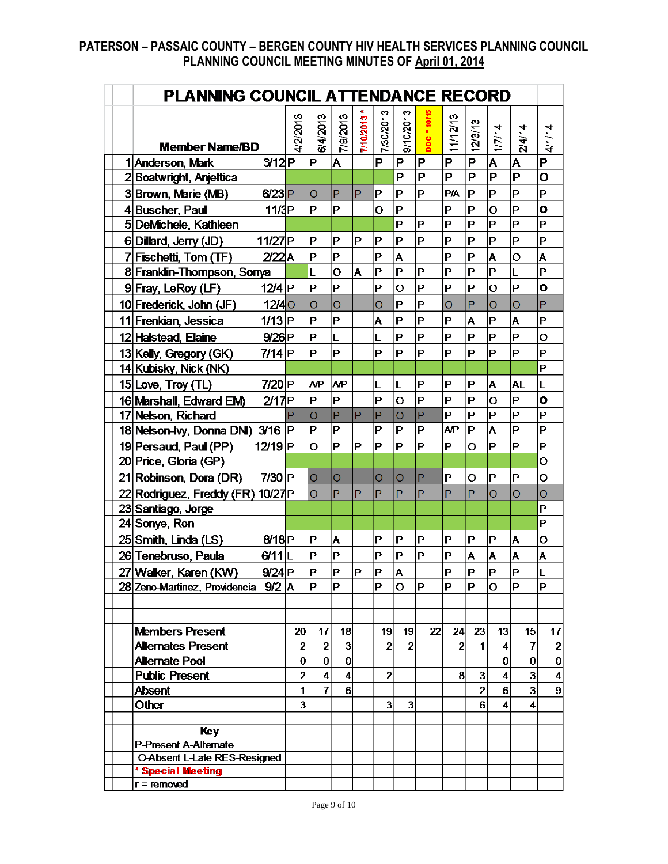|  | PLANNING COUNCIL ATTENDANCE RECORD          |                |                         |                         |             |                         |                         |                         |                |                         |                         |                         |                         |
|--|---------------------------------------------|----------------|-------------------------|-------------------------|-------------|-------------------------|-------------------------|-------------------------|----------------|-------------------------|-------------------------|-------------------------|-------------------------|
|  | <b>Member Name/BD</b>                       | 4/2/2013       | 6/4/2013                | 2102/8/11               | 7/10/2013 * | 7/30/2013               | 9/10/2013               | DOC - 10/15             | 11/12/13       | 2/3/13                  | 1/7/14                  | 2/4/14                  | 4/1/14                  |
|  | 3/12P<br>1 Anderson, Mark                   |                | $\mathsf{P}$            | İΑ                      |             | P                       | P                       | P                       | P              | P                       | A                       | A                       | $\overline{P}$          |
|  | 2Boatwright, Anjettica                      |                |                         |                         |             |                         | P                       | $\overline{\mathsf{P}}$ | $\overline{P}$ | $\overline{\mathsf{P}}$ | $\overline{\mathsf{P}}$ | $\overline{\mathsf{P}}$ | $\overline{\mathbf{o}}$ |
|  | 3Brown, Marie (MB)<br>$6/23$ P              |                | $\overline{O}$          | P                       | P           | P                       | P                       | P                       | <b>P/A</b>     | ΙP                      | P                       | $\mathsf{P}$            | P                       |
|  | 4Buscher, Paul<br>11/3P                     |                | P                       | $\mathbf P$             |             | Ō                       | P                       |                         | $\overline{P}$ | ΙP                      | O                       | $\mathsf{P}$            | $\overline{O}$          |
|  | 5DeMichele, Kathleen                        |                |                         |                         |             |                         | P                       | $\mathsf P$             | $\overline{P}$ | P                       | P                       | $\mathsf{P}$            | P                       |
|  | 6 Dillard, Jerry (JD)<br>11/27P             |                | P                       | $\mathbf P$             | P           | $ {\mathsf P} $         | P                       | $\mathbf P$             | $\overline{P}$ | P                       | P                       | $\mathsf{P}$            | P                       |
|  | 7 Fischetti, Tom (TF)<br>2/22A              |                | P                       | P                       |             | P                       | A                       |                         | $\mathsf P$    | P                       | A                       | $\circ$                 | A                       |
|  | 8 Franklin-Thompson, Sonya                  |                | L                       | Ō                       | A           | P                       | P                       | P                       | $\overline{P}$ | P                       | P                       | L                       | P                       |
|  | 12/4 P<br>9 Fray, LeRoy (LF)                |                | P                       | P                       |             | P                       | O                       | P                       | $\mathsf P$    | P                       | O                       | $\mathsf{P}$            | $\mathbf{o}$            |
|  | 10 Frederick, John (JF)<br>12/4             |                | O                       | $\overline{O}$          |             | Ō                       | P                       | P                       | $\overline{O}$ | P                       | O                       | $\overline{O}$          | P                       |
|  | $1/13$ P<br>11 Frenkian, Jessica            |                | P                       | P                       |             | A                       | P                       | P                       | $\overline{P}$ | A                       | P                       | A                       | P                       |
|  | 9/26P<br>12 Halstead, Elaine                |                | P                       | L                       |             | L                       | P                       | P                       | $\overline{P}$ | P                       | P                       | $\mathsf{P}$            | $\overline{O}$          |
|  | 7/14 P<br>13 Kelly, Gregory (GK)            |                | P                       | Þ                       |             | P                       | P                       | P                       | $\mathbf P$    | P                       | P                       | P                       | P                       |
|  | 14 Kubisky, Nick (NK)                       |                |                         |                         |             |                         |                         |                         |                |                         |                         |                         | P                       |
|  | 15 Love, Troy (TL)<br>$7/20$ P              |                | <b>AP</b>               | AP                      |             | L                       | L                       | P                       | P              | P                       | A                       | <b>AL</b>               | L                       |
|  | 16 Marshall, Edward EM<br>2/17P             |                | P                       | P                       |             | P                       | O                       | $\mathsf P$             | $\mathsf P$    | P                       | O                       | P                       | $\mathbf{o}$            |
|  | 17 Nelson, Richard                          | P              | $\circ$                 | P                       | P           | P                       | $\overline{O}$          | P                       | P              | P                       | P                       | $\mathsf{P}$            | P                       |
|  | 18 Nelson-lvy, Donna DNI) 3/16 P            |                | P                       | P                       |             | $\mathsf{P}$            | P                       | P                       | AP             | ΙP                      | A                       | $\mathsf{P}$            | P                       |
|  | 12/19 <sub>P</sub><br>19 Persaud, Paul (PP) |                | O                       | P                       | Р           | P                       | P                       | P                       | P              | O                       | P                       | P                       | P                       |
|  | 20 Price, Gloria (GP)                       |                |                         |                         |             |                         |                         |                         |                |                         |                         |                         | $\overline{O}$          |
|  | $7/30$ P<br>21 Robinson, Dora (DR)          |                | $\circ$                 | O                       |             | O                       | Ō                       | P                       | $\mathsf P$    | $\Omega$                | P                       | $\mathsf{P}$            | $\overline{O}$          |
|  | 22 Rodriguez, Freddy (FR) 10/27 P           |                | O                       | P                       | P           | P                       | P                       | P                       | P              | P                       | O                       | $\circ$                 | Ō                       |
|  | 23 Santiago, Jorge                          |                |                         |                         |             |                         |                         |                         |                |                         |                         |                         | P                       |
|  | 24 Sonye, Ron                               |                |                         |                         |             |                         |                         |                         |                |                         |                         |                         | P                       |
|  | 25 Smith, Linda (LS)<br>8/18P               |                | P                       | A                       |             | P                       | P                       | P                       | $\mathsf P$    | P                       | P                       | A                       | $\mathbf O$             |
|  | $6/11$ L<br>26 Tenebruso, Paula             |                | P                       | $\overline{P}$          |             | P                       | P                       | $\overline{P}$          | $\mathsf P$    | A                       | A                       | A                       | A                       |
|  | 27 Walker, Karen (KW)<br>$9/24$ P           |                | P                       | Þ                       | P           | P                       | A                       |                         | $\mathbf P$    | Þ                       | P                       | P                       | L                       |
|  | 28 Zeno-Martinez, Providencia 9/2 A         |                | P                       | $\mathsf P$             |             | P                       | $\overline{O}$          | P                       | $\mathsf{P}$   | P                       | lO.                     | P                       | P                       |
|  |                                             |                |                         |                         |             |                         |                         |                         |                |                         |                         |                         |                         |
|  |                                             |                |                         |                         |             |                         |                         |                         |                |                         |                         |                         |                         |
|  | <b>Members Present</b>                      | 20             | 17                      | 18                      |             | 19                      | 19                      | 22                      | 24             | 23                      | 13                      | 15                      | 17                      |
|  | <b>Alternates Present</b>                   | $\overline{2}$ | $\mathbf{2}$            | $\overline{\mathbf{3}}$ |             | $\overline{2}$          | $\overline{2}$          |                         | $\overline{2}$ | $\mathbf 1$             | $\vert$                 | $\overline{I}$          | $\mathbf 2$             |
|  | <b>Alternate Pool</b>                       | 0              | 0                       | $\bf{0}$                |             |                         |                         |                         |                |                         | $\mathbf{0}$            | $\mathbf{0}$            | $\pmb{0}$               |
|  | <b>Public Present</b>                       | $\overline{2}$ | $\overline{\mathbf{4}}$ | $\vert$                 |             | $\overline{2}$          |                         |                         | 8              | 3                       | $\vert$                 | $\overline{\mathbf{3}}$ | 4                       |
|  | <b>Absent</b>                               | $\mathbf 1$    | $\overline{I}$          | 6 <sup>1</sup>          |             |                         |                         |                         |                | $\overline{2}$          | 6 <sup>1</sup>          | $\mathbf{3}$            | 9                       |
|  | <b>Other</b>                                | 3              |                         |                         |             | $\overline{\mathbf{3}}$ | $\overline{\mathbf{3}}$ |                         |                | 6 <sup>1</sup>          | $\vert$                 | 4                       |                         |
|  | <b>Key</b>                                  |                |                         |                         |             |                         |                         |                         |                |                         |                         |                         |                         |
|  | <b>P-Present A-Alternate</b>                |                |                         |                         |             |                         |                         |                         |                |                         |                         |                         |                         |
|  | O-Absent L-Late RES-Resigned                |                |                         |                         |             |                         |                         |                         |                |                         |                         |                         |                         |
|  | * Special Meeting                           |                |                         |                         |             |                         |                         |                         |                |                         |                         |                         |                         |
|  | $r =$ removed                               |                |                         |                         |             |                         |                         |                         |                |                         |                         |                         |                         |